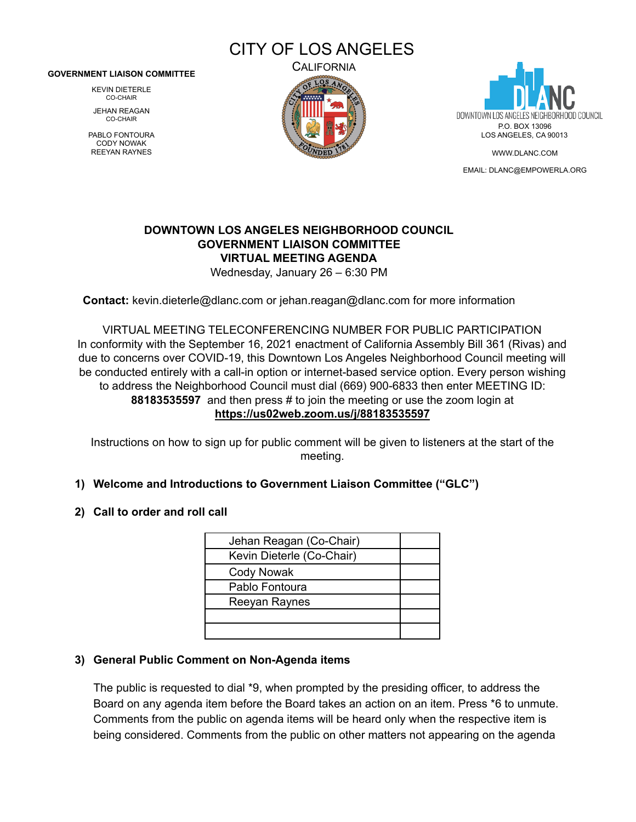CITY OF LOS ANGELES

#### **GOVERNMENT LIAISON COMMITTEE**

KEVIN DIETERLE CO-CHAIR JEHAN REAGAN CO-CHAIR

PABLO FONTOURA CODY NOWAK REEYAN RAYNES





EMAIL: [DLANC@EMPOWERLA.ORG](mailto:DLANC@EMPOWERLA.ORG)

### **DOWNTOWN LOS ANGELES NEIGHBORHOOD COUNCIL GOVERNMENT LIAISON COMMITTEE VIRTUAL MEETING AGENDA**

Wednesday, January 26 – 6:30 PM

**Contact:** [kevin.dieterle@dlanc.com](mailto:kevin.dieterle@dlanc.com) or jehan.reagan@dlanc.com for more information

VIRTUAL MEETING TELECONFERENCING NUMBER FOR PUBLIC PARTICIPATION In conformity with the September 16, 2021 enactment of California Assembly Bill 361 (Rivas) and due to concerns over COVID-19, this Downtown Los Angeles Neighborhood Council meeting will be conducted entirely with a call-in option or internet-based service option. Every person wishing to address the Neighborhood Council must dial (669) 900-6833 then enter MEETING ID: **88183535597** and then press # to join the meeting or use the zoom login at **<https://us02web.zoom.us/j/88183535597>**

Instructions on how to sign up for public comment will be given to listeners at the start of the meeting.

#### **1) Welcome and Introductions to Government Liaison Committee ("GLC")**

#### **2) Call to order and roll call**

| Jehan Reagan (Co-Chair)   |  |
|---------------------------|--|
| Kevin Dieterle (Co-Chair) |  |
| <b>Cody Nowak</b>         |  |
| Pablo Fontoura            |  |
| Reeyan Raynes             |  |
|                           |  |
|                           |  |

#### **3) General Public Comment on Non-Agenda items**

The public is requested to dial \*9, when prompted by the presiding officer, to address the Board on any agenda item before the Board takes an action on an item. Press \*6 to unmute. Comments from the public on agenda items will be heard only when the respective item is being considered. Comments from the public on other matters not appearing on the agenda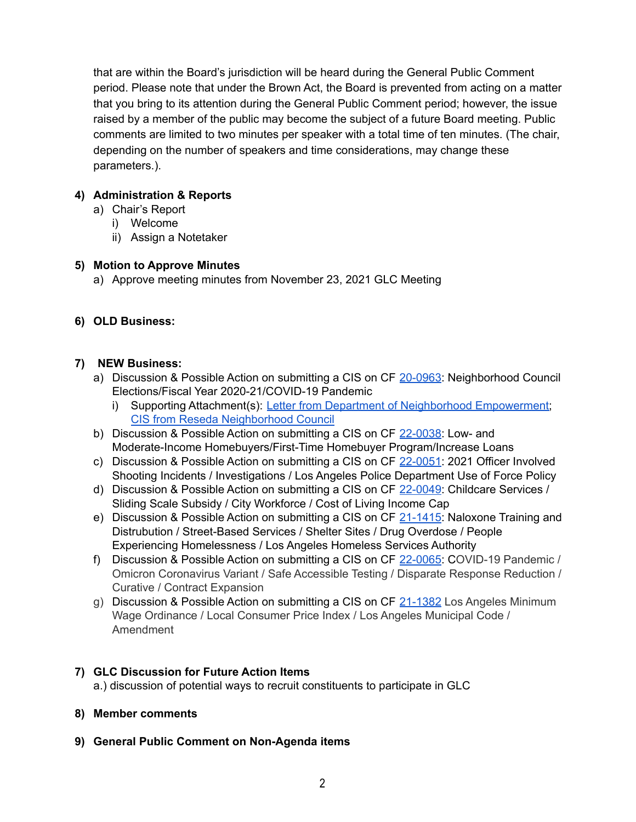that are within the Board's jurisdiction will be heard during the General Public Comment period. Please note that under the Brown Act, the Board is prevented from acting on a matter that you bring to its attention during the General Public Comment period; however, the issue raised by a member of the public may become the subject of a future Board meeting. Public comments are limited to two minutes per speaker with a total time of ten minutes. (The chair, depending on the number of speakers and time considerations, may change these parameters.).

### **4) Administration & Reports**

- a) Chair's Report
	- i) Welcome
	- ii) Assign a Notetaker

## **5) Motion to Approve Minutes**

a) Approve meeting minutes from November 23, 2021 GLC Meeting

# **6) OLD Business:**

## **7) NEW Business:**

- a) Discussion & Possible Action on submitting a CIS on CF [20-0963](https://cityclerk.lacity.org/lacityclerkconnect/index.cfm?fa=ccfi.viewrecord&cfnumber=20-0963): Neighborhood Council Elections/Fiscal Year 2020-21/COVID-19 Pandemic
	- i) Supporting Attachment(s): Letter from Department of Neighborhood [Empowerment;](https://clkrep.lacity.org/onlinedocs/2020/20-0963_rpt_BNC_01-06-22.pdf) CIS from Reseda [Neighborhood](https://clkrep.lacity.org/onlinedocs/2020/20-0963_CIS_01182022113613_01-18-2022.pdf) Council
- b) Discussion & Possible Action on submitting a CIS on CF [22-0038](https://clkrep.lacity.org/onlinedocs/2022/22-0038_mot_01-11-22.pdf): Low- and Moderate-Income Homebuyers/First-Time Homebuyer Program/Increase Loans
- c) Discussion & Possible Action on submitting a CIS on CF [22-0051](https://clkrep.lacity.org/onlinedocs/2022/22-0051_mot_01-12-22.pdf): 2021 Officer Involved Shooting Incidents / Investigations / Los Angeles Police Department Use of Force Policy
- d) Discussion & Possible Action on submitting a CIS on CF [22-0049](https://clkrep.lacity.org/onlinedocs/2022/22-0049_misc_1-12-22.pdf): Childcare Services / Sliding Scale Subsidy / City Workforce / Cost of Living Income Cap
- e) Discussion & Possible Action on submitting a CIS on CF [21-1415](https://clkrep.lacity.org/onlinedocs/2021/21-1415_mot_12-01-21.pdf): Naloxone Training and Distrubution / Street-Based Services / Shelter Sites / Drug Overdose / People Experiencing Homelessness / Los Angeles Homeless Services Authority
- f) Discussion & Possible Action on submitting a CIS on CF [22-0065](https://clkrep.lacity.org/onlinedocs/2022/22-0065_mot_1-18-22.pdf): COVID-19 Pandemic / Omicron Coronavirus Variant / Safe Accessible Testing / Disparate Response Reduction / Curative / Contract Expansion
- g) Discussion & Possible Action on submitting a CIS on CF [21-1382](https://clkrep.lacity.org/onlinedocs/2021/21-1382_mot_11-23-21.pdf) Los Angeles Minimum Wage Ordinance / Local Consumer Price Index / Los Angeles Municipal Code / Amendment

# **7) GLC Discussion for Future Action Items**

a.) discussion of potential ways to recruit constituents to participate in GLC

### **8) Member comments**

**9) General Public Comment on Non-Agenda items**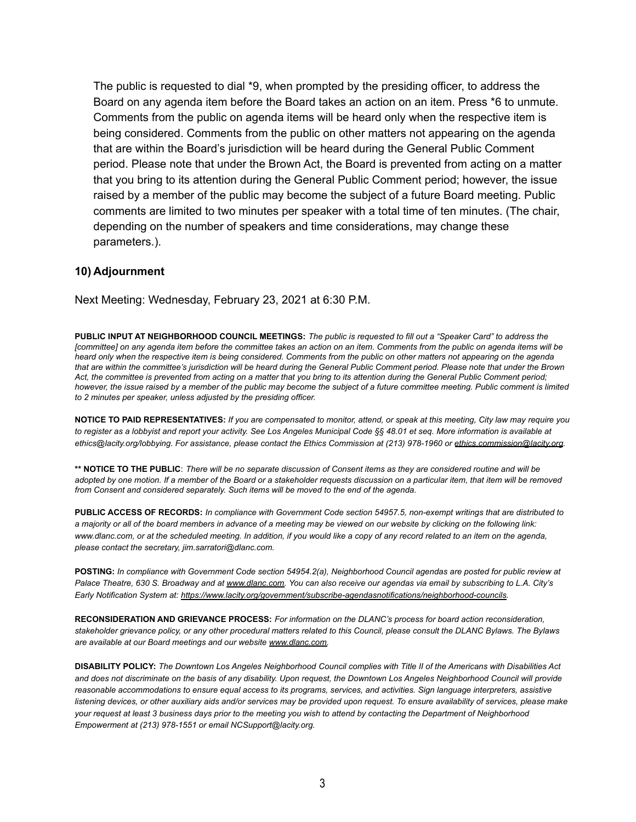The public is requested to dial \*9, when prompted by the presiding officer, to address the Board on any agenda item before the Board takes an action on an item. Press \*6 to unmute. Comments from the public on agenda items will be heard only when the respective item is being considered. Comments from the public on other matters not appearing on the agenda that are within the Board's jurisdiction will be heard during the General Public Comment period. Please note that under the Brown Act, the Board is prevented from acting on a matter that you bring to its attention during the General Public Comment period; however, the issue raised by a member of the public may become the subject of a future Board meeting. Public comments are limited to two minutes per speaker with a total time of ten minutes. (The chair, depending on the number of speakers and time considerations, may change these parameters.).

#### **10) Adjournment**

Next Meeting: Wednesday, February 23, 2021 at 6:30 P.M.

PUBLIC INPUT AT NEIGHBORHOOD COUNCIL MEETINGS: The public is requested to fill out a "Speaker Card" to address the [committee] on any agenda item before the committee takes an action on an item. Comments from the public on agenda items will be heard only when the respective item is being considered. Comments from the public on other matters not appearing on the agenda that are within the committee's jurisdiction will be heard during the General Public Comment period. Please note that under the Brown Act, the committee is prevented from acting on a matter that you bring to its attention during the General Public Comment period; however, the issue raised by a member of the public may become the subject of a future committee meeting. Public comment is limited *to 2 minutes per speaker, unless adjusted by the presiding officer.*

NOTICE TO PAID REPRESENTATIVES: If you are compensated to monitor, attend, or speak at this meeting, City law may require you to register as a lobbyist and report your activity. See Los Angeles Municipal Code §§ 48.01 et seq. More information is available at ethics@lacity.org/lobbying. For assistance, please contact the Ethics Commission at (213) 978-1960 or [ethics.commission@lacity.org](mailto:ethics.commission@lacity.org).

\*\* NOTICE TO THE PUBLIC: There will be no separate discussion of Consent items as they are considered routine and will be adopted by one motion. If a member of the Board or a stakeholder requests discussion on a particular item, that item will be removed *from Consent and considered separately. Such items will be moved to the end of the agenda.*

PUBLIC ACCESS OF RECORDS: In compliance with Government Code section 54957.5, non-exempt writings that are distributed to a majority or all of the board members in advance of a meeting may be viewed on our website by clicking on the following link: www.dlanc.com, or at the scheduled meeting. In addition, if you would like a copy of any record related to an item on the agenda, *please contact the secretary, jim.sarratori@dlanc.com.*

POSTING: In compliance with Government Code section 54954.2(a), Neighborhood Council agendas are posted for public review at Palace Theatre, 630 S. Broadway and at [www.dlanc.com.](http://www.dlanc.com) You can also receive our agendas via email by subscribing to L.A. City's *Early Notification System at: [https://www.lacity.org/government/subscribe-agendasnotifications/neighborhood-councils.](https://www.lacity.org/government/subscribe-agendasnotifications/neighborhood-councils)*

**RECONSIDERATION AND GRIEVANCE PROCESS:** *For information on the DLANC's process for board action reconsideration,* stakeholder grievance policy, or any other procedural matters related to this Council, please consult the DLANC Bylaws. The Bylaws *are available at our Board meetings and our website [www.dlanc.com.](http://www.dlanc.com)*

DISABILITY POLICY: The Downtown Los Angeles Neighborhood Council complies with Title II of the Americans with Disabilities Act and does not discriminate on the basis of any disability. Upon request, the Downtown Los Angeles Neighborhood Council will provide reasonable accommodations to ensure equal access to its programs, services, and activities. Sign language interpreters, assistive listening devices, or other auxiliary aids and/or services may be provided upon request. To ensure availability of services, please make your request at least 3 business days prior to the meeting you wish to attend by contacting the Department of Neighborhood *Empowerment at (213) 978-1551 or email NCSupport@lacity.org.*